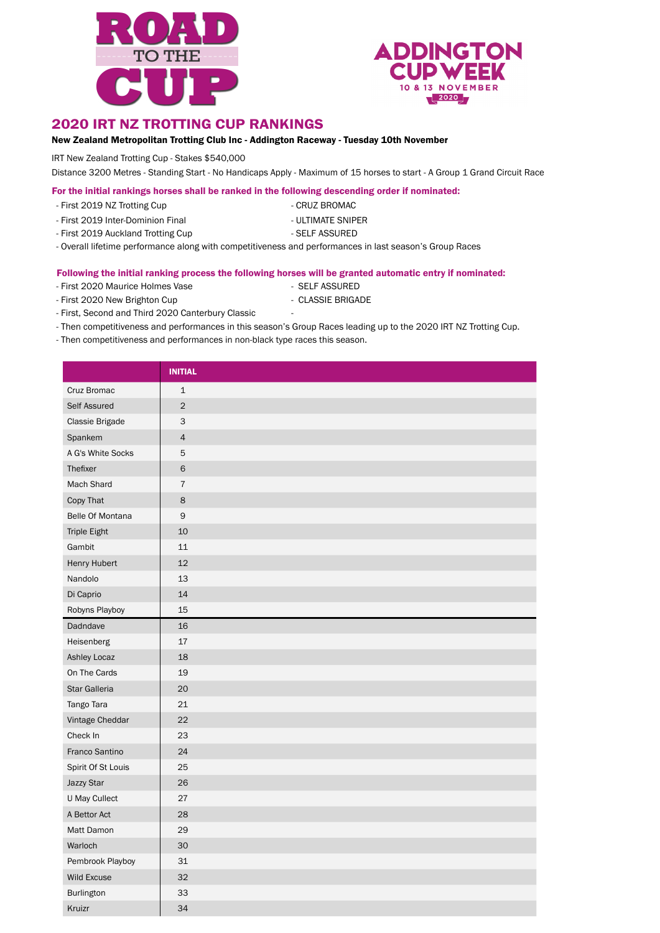



#### 2020 IRT NZ TROTTING CUP RANKINGS

#### New Zealand Metropolitan Trotting Club Inc - Addington Raceway - Tuesday 10th November

IRT New Zealand Trotting Cup - Stakes \$540,000

Distance 3200 Metres - Standing Start - No Handicaps Apply - Maximum of 15 horses to start - A Group 1 Grand Circuit Race

For the initial rankings horses shall be ranked in the following descending order if nominated:

- First 2019 NZ Trotting Cup CRUZ BROMAC
- 
- First 2019 Inter-Dominion Final ULTIMATE SNIPER
- 
- 
- First 2019 Auckland Trotting Cup SELF ASSURED
- Overall lifetime performance along with competitiveness and performances in last season's Group Races

#### Following the initial ranking process the following horses will be granted automatic entry if nominated:

- First 2020 Maurice Holmes Vase SELF ASSURED
- First 2020 New Brighton Cup CLASSIE BRIGADE
- First, Second and Third 2020 Canterbury Classic -
- Then competitiveness and performances in this season's Group Races leading up to the 2020 IRT NZ Trotting Cup.
- Then competitiveness and performances in non-black type races this season.

|                     | <b>INITIAL</b> |
|---------------------|----------------|
| Cruz Bromac         | $\mathbf{1}$   |
| Self Assured        | $\overline{2}$ |
| Classie Brigade     | 3              |
| Spankem             | $\overline{4}$ |
| A G's White Socks   | 5              |
| Thefixer            | $\mathsf 6$    |
| Mach Shard          | $\overline{7}$ |
| Copy That           | 8              |
| Belle Of Montana    | $\mathsf 9$    |
| <b>Triple Eight</b> | 10             |
| Gambit              | 11             |
| Henry Hubert        | 12             |
| Nandolo             | 13             |
| Di Caprio           | 14             |
| Robyns Playboy      | 15             |
| Dadndave            | 16             |
| Heisenberg          | $17\,$         |
| Ashley Locaz        | 18             |
| On The Cards        | 19             |
| Star Galleria       | 20             |
| Tango Tara          | 21             |
| Vintage Cheddar     | 22             |
| Check In            | 23             |
| Franco Santino      | 24             |
| Spirit Of St Louis  | 25             |
| Jazzy Star          | 26             |
| U May Cullect       | 27             |
| A Bettor Act        | 28             |
| Matt Damon          | 29             |
| Warloch             | 30             |
| Pembrook Playboy    | 31             |
| <b>Wild Excuse</b>  | 32             |
| Burlington          | 33             |
| Kruizr              | 34             |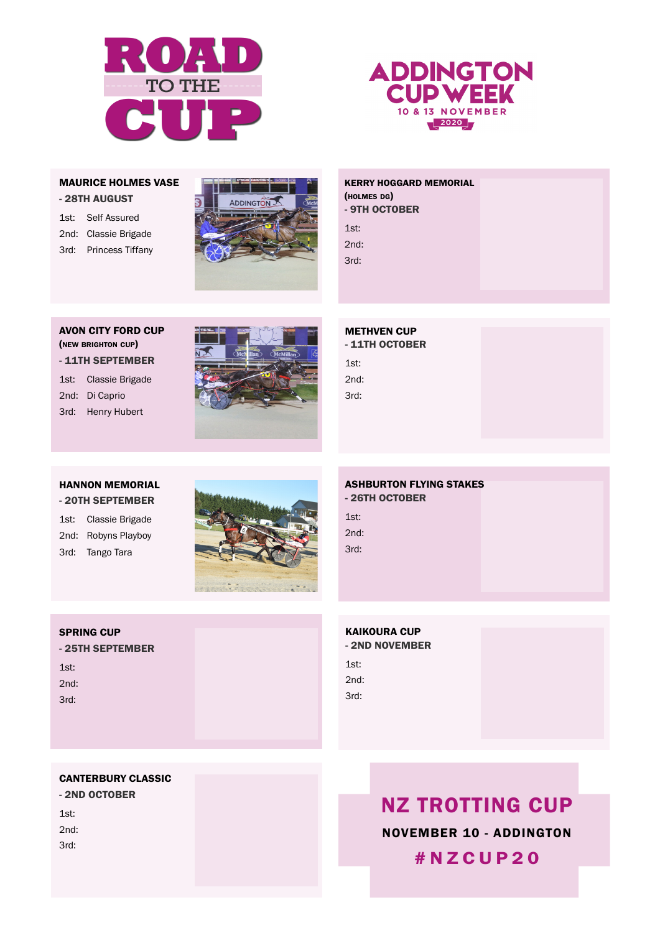



#### MAURICE HOLMES VASE - 28TH AUGUST

1st: Self Assured 2nd: Classie Brigade 3rd: Princess Tiffany



### **KERRY HOGGARD MEMORIAL** 1st: Classie Brigade (holmes dg) - 9TH OCTOBER

3rd: Hail Christian 1st: 2nd: 3rd:

#### AVON CITY FORD CUP (new brighton cup) - 11TH SEPTEMBER

1st: Classie Brigade 2nd: Di Caprio 3rd: Henry Hubert



METHVEN CUP - 11TH OCTOBER 1st: 2nd: 3rd:

## HANNON MEMORIAL

- 20TH SEPTEMBER

1st: Classie Brigade 2nd: Robyns Playboy 3rd: Tango Tara



#### ASHBURTON FLYING STAKES - 26TH OCTOBER 1st: 2nd: 3rd:

#### SPRING CUP

- 25TH SEPTEMBER  $1st.$ 2nd: 3rd:

## KAIKOURA CUP - 2ND NOVEMBER  $1st:$ 2nd: 3rd:

#### CANTERBURY CLASSIC

- 2ND OCTOBER 1st: 2nd: 3rd:

NZ TROTTING CUP NOVEMBER 10 - ADDINGTON #NZCUP20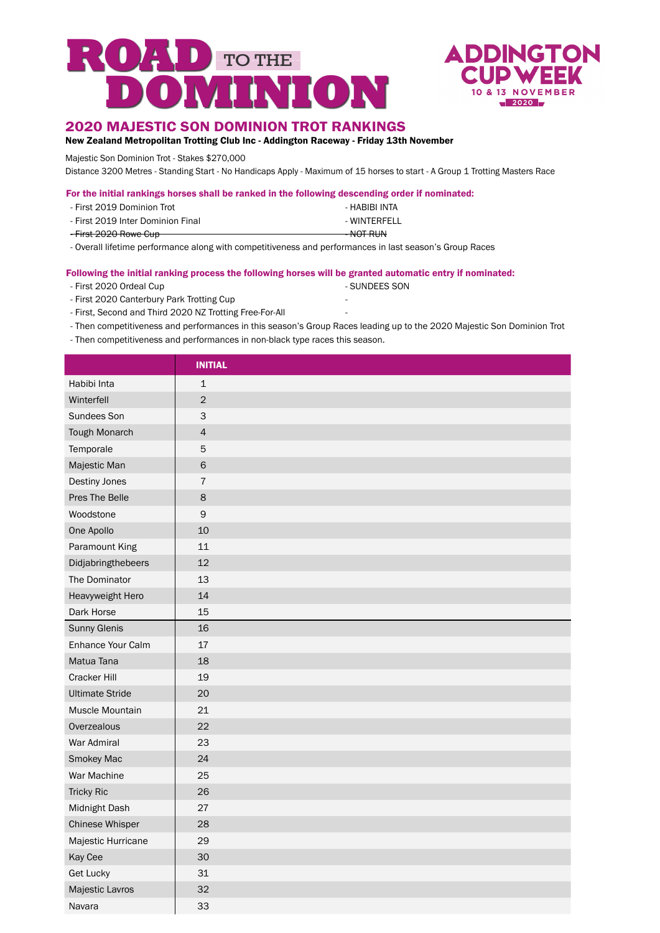



#### 2020 MAJESTIC SON DOMINION TROT RANKINGS

New Zealand Metropolitan Trotting Club Inc - Addington Raceway - Friday 13th November

Majestic Son Dominion Trot - Stakes \$270,000

Distance 3200 Metres - Standing Start - No Handicaps Apply - Maximum of 15 horses to start - A Group 1 Trotting Masters Race

| For the initial rankings horses shall be ranked in the following descending order if nominated: |  |
|-------------------------------------------------------------------------------------------------|--|
|-------------------------------------------------------------------------------------------------|--|

| - First 2019 Dominion Trot        | - HABIBI INTA        |
|-----------------------------------|----------------------|
| - First 2019 Inter Dominion Final | - WINTERFELL         |
| <del>- First 2020 Rowe Cup</del>  | <del>- NOT RUN</del> |

- Overall lifetime performance along with competitiveness and performances in last season's Group Races

#### Following the initial ranking process the following horses will be granted automatic entry if nominated:

- First 2020 Ordeal Cup  **SUNDEES SON**
- First 2020 Canterbury Park Trotting Cup
- First, Second and Third 2020 NZ Trotting Free-For-All -
- Then competitiveness and performances in this season's Group Races leading up to the 2020 Majestic Son Dominion Trot
- Then competitiveness and performances in non-black type races this season.

|                        | <b>INITIAL</b> |  |
|------------------------|----------------|--|
| Habibi Inta            | $\mathbf 1$    |  |
| Winterfell             | $\overline{c}$ |  |
| Sundees Son            | 3              |  |
| Tough Monarch          | $\overline{4}$ |  |
| Temporale              | 5              |  |
| Majestic Man           | $\mathbf 6$    |  |
| Destiny Jones          | $\overline{7}$ |  |
| Pres The Belle         | $\bf 8$        |  |
| Woodstone              | $\mathsf 9$    |  |
| One Apollo             | 10             |  |
| Paramount King         | 11             |  |
| Didjabringthebeers     | 12             |  |
| The Dominator          | 13             |  |
| Heavyweight Hero       | 14             |  |
| Dark Horse             | 15             |  |
| <b>Sunny Glenis</b>    | 16             |  |
| Enhance Your Calm      | 17             |  |
| Matua Tana             | 18             |  |
| <b>Cracker Hill</b>    | 19             |  |
| <b>Ultimate Stride</b> | 20             |  |
| Muscle Mountain        | 21             |  |
| Overzealous            | 22             |  |
| War Admiral            | 23             |  |
| Smokey Mac             | 24             |  |
| War Machine            | 25             |  |
| <b>Tricky Ric</b>      | 26             |  |
| Midnight Dash          | 27             |  |
| Chinese Whisper        | 28             |  |
| Majestic Hurricane     | 29             |  |
| Kay Cee                | 30             |  |
| <b>Get Lucky</b>       | 31             |  |
| Majestic Lavros        | 32             |  |
| Navara                 | 33             |  |